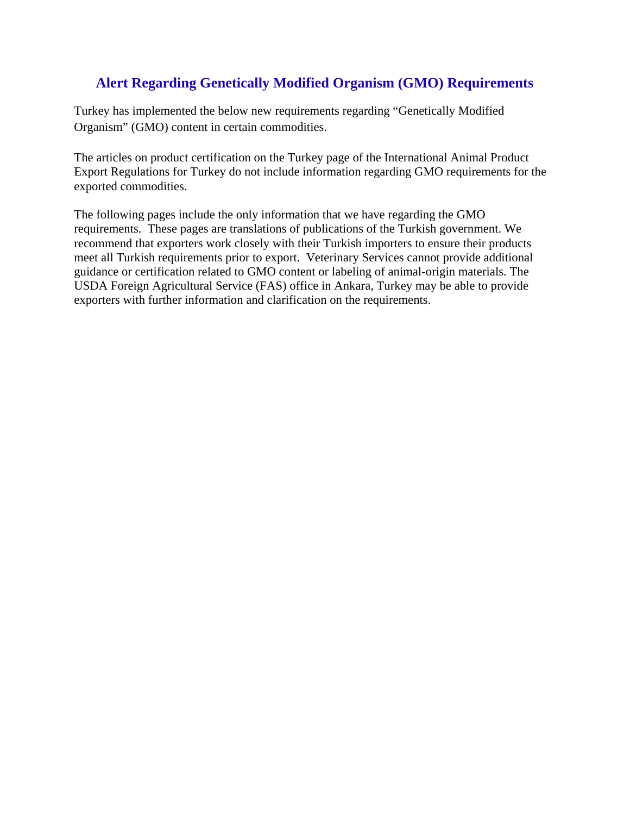# **Alert Regarding Genetically Modified Organism (GMO) Requirements**

Turkey has implemented the below new requirements regarding "Genetically Modified Organism" (GMO) content in certain commodities.

The articles on product certification on the Turkey page of the International Animal Product Export Regulations for Turkey do not include information regarding GMO requirements for the exported commodities.

The following pages include the only information that we have regarding the GMO requirements. These pages are translations of publications of the Turkish government. We recommend that exporters work closely with their Turkish importers to ensure their products meet all Turkish requirements prior to export. Veterinary Services cannot provide additional guidance or certification related to GMO content or labeling of animal-origin materials. The USDA Foreign Agricultural Service (FAS) office in Ankara, Turkey may be able to provide exporters with further information and clarification on the requirements.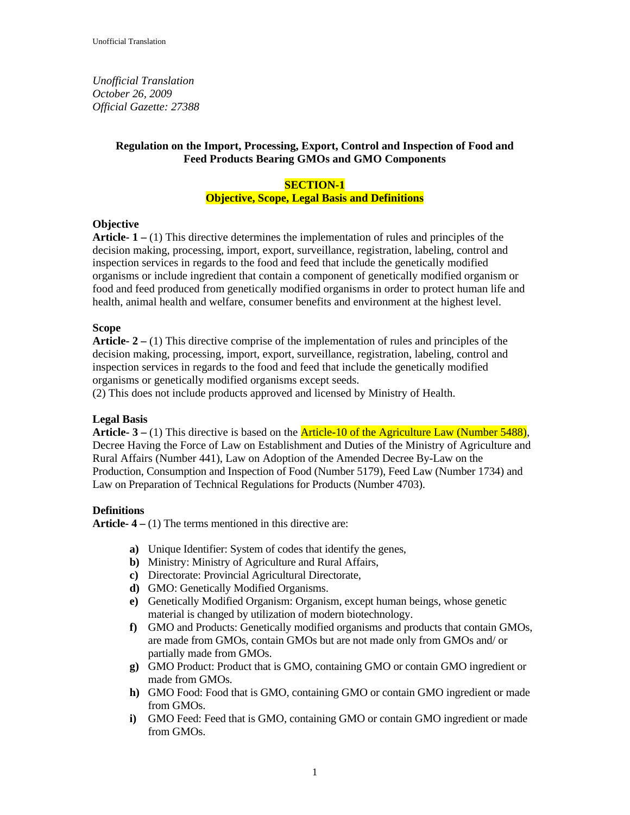*Unofficial Translation October 26, 2009 Official Gazette: 27388* 

# **Regulation on the Import, Processing, Export, Control and Inspection of Food and Feed Products Bearing GMOs and GMO Components**

# **SECTION-1 Objective, Scope, Legal Basis and Definitions**

# **Objective**

**Article- 1 –** (1) This directive determines the implementation of rules and principles of the decision making, processing, import, export, surveillance, registration, labeling, control and inspection services in regards to the food and feed that include the genetically modified organisms or include ingredient that contain a component of genetically modified organism or food and feed produced from genetically modified organisms in order to protect human life and health, animal health and welfare, consumer benefits and environment at the highest level.

# **Scope**

**Article- 2 –** (1) This directive comprise of the implementation of rules and principles of the decision making, processing, import, export, surveillance, registration, labeling, control and inspection services in regards to the food and feed that include the genetically modified organisms or genetically modified organisms except seeds.

(2) This does not include products approved and licensed by Ministry of Health.

# **Legal Basis**

**Article- 3 –** (1) This directive is based on the Article-10 of the Agriculture Law (Number 5488), Decree Having the Force of Law on Establishment and Duties of the Ministry of Agriculture and Rural Affairs (Number 441), Law on Adoption of the Amended Decree By-Law on the Production, Consumption and Inspection of Food (Number 5179), Feed Law (Number 1734) and Law on Preparation of Technical Regulations for Products (Number 4703).

# **Definitions**

**Article- 4 –** (1) The terms mentioned in this directive are:

- **a)** Unique Identifier: System of codes that identify the genes,
- **b)** Ministry: Ministry of Agriculture and Rural Affairs,
- **c)** Directorate: Provincial Agricultural Directorate,
- **d)** GMO: Genetically Modified Organisms.
- **e)** Genetically Modified Organism: Organism, except human beings, whose genetic material is changed by utilization of modern biotechnology.
- **f)** GMO and Products: Genetically modified organisms and products that contain GMOs, are made from GMOs, contain GMOs but are not made only from GMOs and/ or partially made from GMOs.
- **g)** GMO Product: Product that is GMO, containing GMO or contain GMO ingredient or made from GMOs.
- **h)** GMO Food: Food that is GMO, containing GMO or contain GMO ingredient or made from GMOs.
- **i)** GMO Feed: Feed that is GMO, containing GMO or contain GMO ingredient or made from GMOs.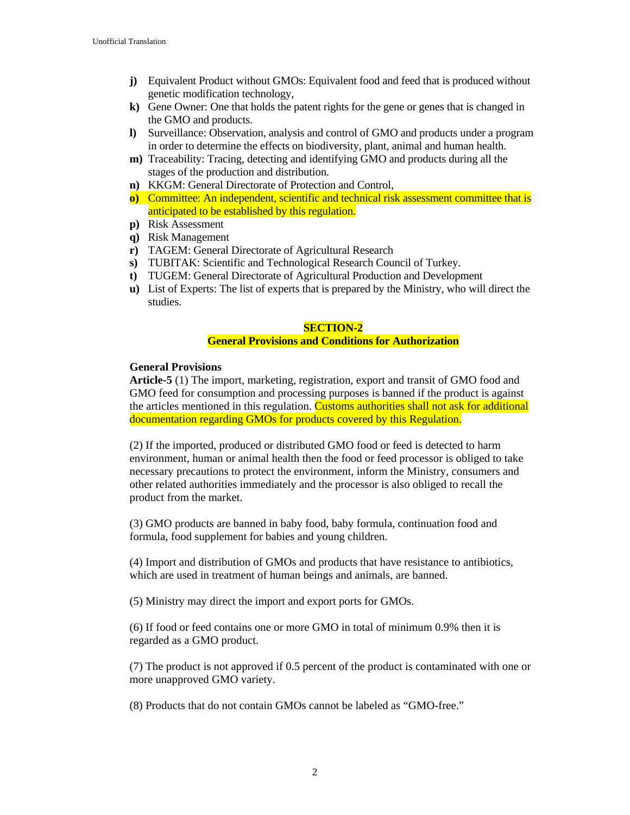- **j)** Equivalent Product without GMOs: Equivalent food and feed that is produced without genetic modification technology,
- **k)** Gene Owner: One that holds the patent rights for the gene or genes that is changed in the GMO and products.
- **l)** Surveillance: Observation, analysis and control of GMO and products under a program in order to determine the effects on biodiversity, plant, animal and human health.
- **m)** Traceability: Tracing, detecting and identifying GMO and products during all the stages of the production and distribution.
- **n)** KKGM: General Directorate of Protection and Control,
- **o)** Committee: An independent, scientific and technical risk assessment committee that is anticipated to be established by this regulation.
- **p)** Risk Assessment
- **q)** Risk Management
- **r)** TAGEM: General Directorate of Agricultural Research
- **s)** TUBITAK: Scientific and Technological Research Council of Turkey.
- **t)** TUGEM: General Directorate of Agricultural Production and Development
- **u)** List of Experts: The list of experts that is prepared by the Ministry, who will direct the studies.

#### **SECTION-2**

# **General Provisions and Conditions for Authorization**

#### **General Provisions**

**Article-5** (1) The import, marketing, registration, export and transit of GMO food and GMO feed for consumption and processing purposes is banned if the product is against the articles mentioned in this regulation. Customs authorities shall not ask for additional documentation regarding GMOs for products covered by this Regulation.

(2) If the imported, produced or distributed GMO food or feed is detected to harm environment, human or animal health then the food or feed processor is obliged to take necessary precautions to protect the environment, inform the Ministry, consumers and other related authorities immediately and the processor is also obliged to recall the product from the market.

(3) GMO products are banned in baby food, baby formula, continuation food and formula, food supplement for babies and young children.

(4) Import and distribution of GMOs and products that have resistance to antibiotics, which are used in treatment of human beings and animals, are banned.

(5) Ministry may direct the import and export ports for GMOs.

(6) If food or feed contains one or more GMO in total of minimum 0.9% then it is regarded as a GMO product.

(7) The product is not approved if 0.5 percent of the product is contaminated with one or more unapproved GMO variety.

(8) Products that do not contain GMOs cannot be labeled as "GMO-free."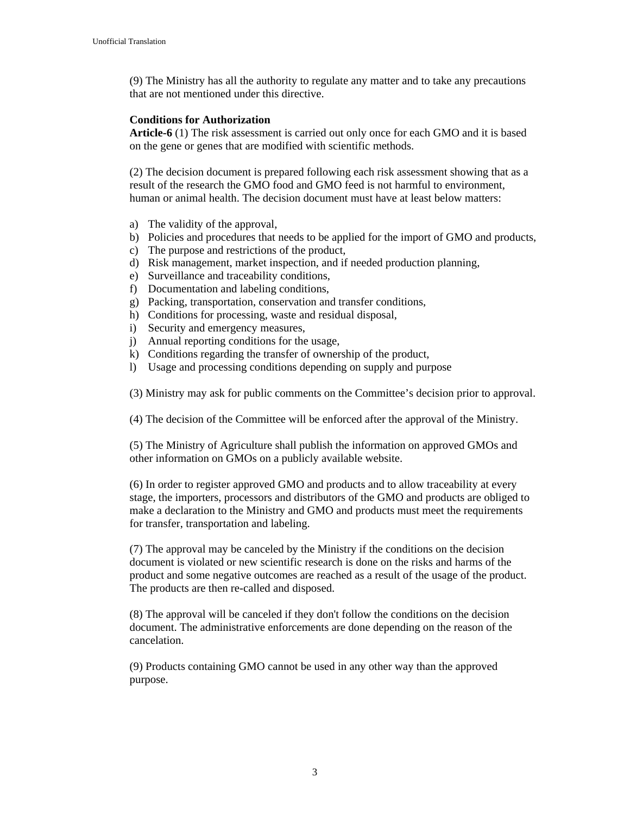(9) The Ministry has all the authority to regulate any matter and to take any precautions that are not mentioned under this directive.

#### **Conditions for Authorization**

**Article-6** (1) The risk assessment is carried out only once for each GMO and it is based on the gene or genes that are modified with scientific methods.

(2) The decision document is prepared following each risk assessment showing that as a result of the research the GMO food and GMO feed is not harmful to environment, human or animal health. The decision document must have at least below matters:

- a) The validity of the approval,
- b) Policies and procedures that needs to be applied for the import of GMO and products,
- c) The purpose and restrictions of the product,
- d) Risk management, market inspection, and if needed production planning,
- e) Surveillance and traceability conditions,
- f) Documentation and labeling conditions,
- g) Packing, transportation, conservation and transfer conditions,
- h) Conditions for processing, waste and residual disposal,
- i) Security and emergency measures,
- j) Annual reporting conditions for the usage,
- k) Conditions regarding the transfer of ownership of the product,
- l) Usage and processing conditions depending on supply and purpose

(3) Ministry may ask for public comments on the Committee's decision prior to approval.

(4) The decision of the Committee will be enforced after the approval of the Ministry.

(5) The Ministry of Agriculture shall publish the information on approved GMOs and other information on GMOs on a publicly available website.

(6) In order to register approved GMO and products and to allow traceability at every stage, the importers, processors and distributors of the GMO and products are obliged to make a declaration to the Ministry and GMO and products must meet the requirements for transfer, transportation and labeling.

(7) The approval may be canceled by the Ministry if the conditions on the decision document is violated or new scientific research is done on the risks and harms of the product and some negative outcomes are reached as a result of the usage of the product. The products are then re-called and disposed.

(8) The approval will be canceled if they don't follow the conditions on the decision document. The administrative enforcements are done depending on the reason of the cancelation.

(9) Products containing GMO cannot be used in any other way than the approved purpose.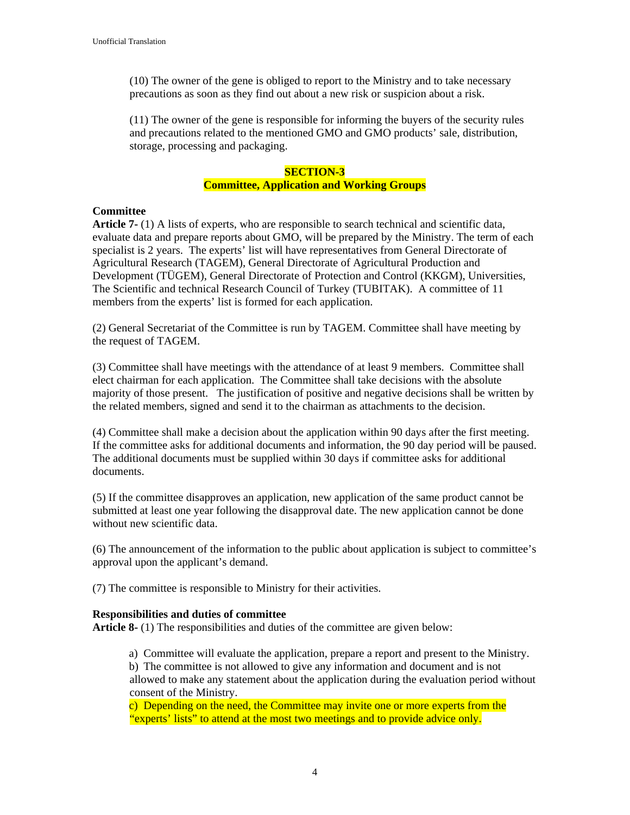(10) The owner of the gene is obliged to report to the Ministry and to take necessary precautions as soon as they find out about a new risk or suspicion about a risk.

(11) The owner of the gene is responsible for informing the buyers of the security rules and precautions related to the mentioned GMO and GMO products' sale, distribution, storage, processing and packaging.

# **SECTION-3 Committee, Application and Working Groups**

#### **Committee**

**Article 7-** (1) A lists of experts, who are responsible to search technical and scientific data, evaluate data and prepare reports about GMO, will be prepared by the Ministry. The term of each specialist is 2 years. The experts' list will have representatives from General Directorate of Agricultural Research (TAGEM), General Directorate of Agricultural Production and Development (TÜGEM), General Directorate of Protection and Control (KKGM), Universities, The Scientific and technical Research Council of Turkey (TUBITAK). A committee of 11 members from the experts' list is formed for each application.

(2) General Secretariat of the Committee is run by TAGEM. Committee shall have meeting by the request of TAGEM.

(3) Committee shall have meetings with the attendance of at least 9 members. Committee shall elect chairman for each application. The Committee shall take decisions with the absolute majority of those present. The justification of positive and negative decisions shall be written by the related members, signed and send it to the chairman as attachments to the decision.

(4) Committee shall make a decision about the application within 90 days after the first meeting. If the committee asks for additional documents and information, the 90 day period will be paused. The additional documents must be supplied within 30 days if committee asks for additional documents.

(5) If the committee disapproves an application, new application of the same product cannot be submitted at least one year following the disapproval date. The new application cannot be done without new scientific data.

(6) The announcement of the information to the public about application is subject to committee's approval upon the applicant's demand.

(7) The committee is responsible to Ministry for their activities.

#### **Responsibilities and duties of committee**

**Article 8-** (1) The responsibilities and duties of the committee are given below:

a) Committee will evaluate the application, prepare a report and present to the Ministry. b) The committee is not allowed to give any information and document and is not allowed to make any statement about the application during the evaluation period without consent of the Ministry.

c) Depending on the need, the Committee may invite one or more experts from the "experts' lists" to attend at the most two meetings and to provide advice only.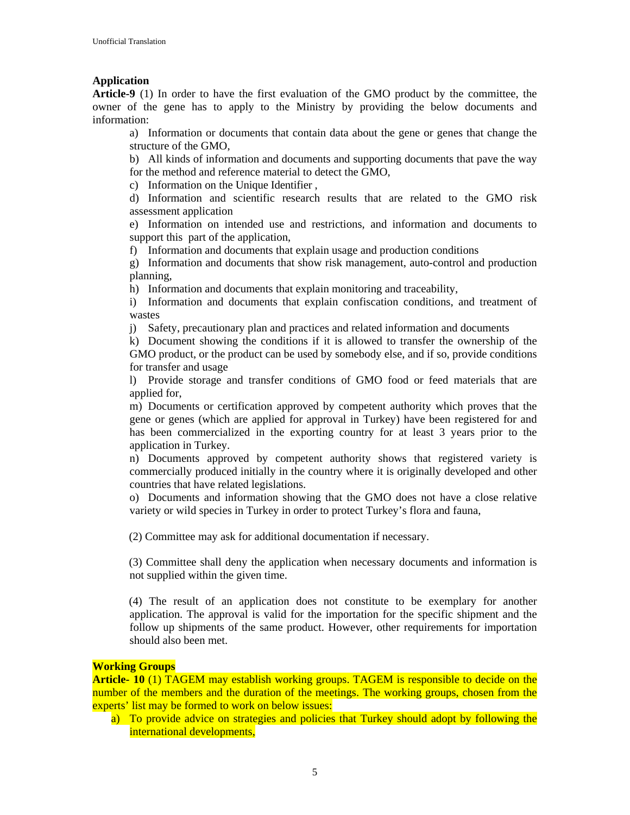# **Application**

**Article-9** (1) In order to have the first evaluation of the GMO product by the committee, the owner of the gene has to apply to the Ministry by providing the below documents and information:

a) Information or documents that contain data about the gene or genes that change the structure of the GMO,

b) All kinds of information and documents and supporting documents that pave the way for the method and reference material to detect the GMO,

c) Information on the Unique Identifier ,

d) Information and scientific research results that are related to the GMO risk assessment application

e) Information on intended use and restrictions, and information and documents to support this part of the application,

f) Information and documents that explain usage and production conditions

g) Information and documents that show risk management, auto-control and production planning,

h) Information and documents that explain monitoring and traceability,

i) Information and documents that explain confiscation conditions, and treatment of wastes

j) Safety, precautionary plan and practices and related information and documents

k) Document showing the conditions if it is allowed to transfer the ownership of the GMO product, or the product can be used by somebody else, and if so, provide conditions for transfer and usage

l) Provide storage and transfer conditions of GMO food or feed materials that are applied for,

m) Documents or certification approved by competent authority which proves that the gene or genes (which are applied for approval in Turkey) have been registered for and has been commercialized in the exporting country for at least 3 years prior to the application in Turkey.

n) Documents approved by competent authority shows that registered variety is commercially produced initially in the country where it is originally developed and other countries that have related legislations.

o) Documents and information showing that the GMO does not have a close relative variety or wild species in Turkey in order to protect Turkey's flora and fauna,

(2) Committee may ask for additional documentation if necessary.

(3) Committee shall deny the application when necessary documents and information is not supplied within the given time.

(4) The result of an application does not constitute to be exemplary for another application. The approval is valid for the importation for the specific shipment and the follow up shipments of the same product. However, other requirements for importation should also been met.

#### **Working Groups**

**Article- 10** (1) TAGEM may establish working groups. TAGEM is responsible to decide on the number of the members and the duration of the meetings. The working groups, chosen from the experts' list may be formed to work on below issues:

a) To provide advice on strategies and policies that Turkey should adopt by following the international developments,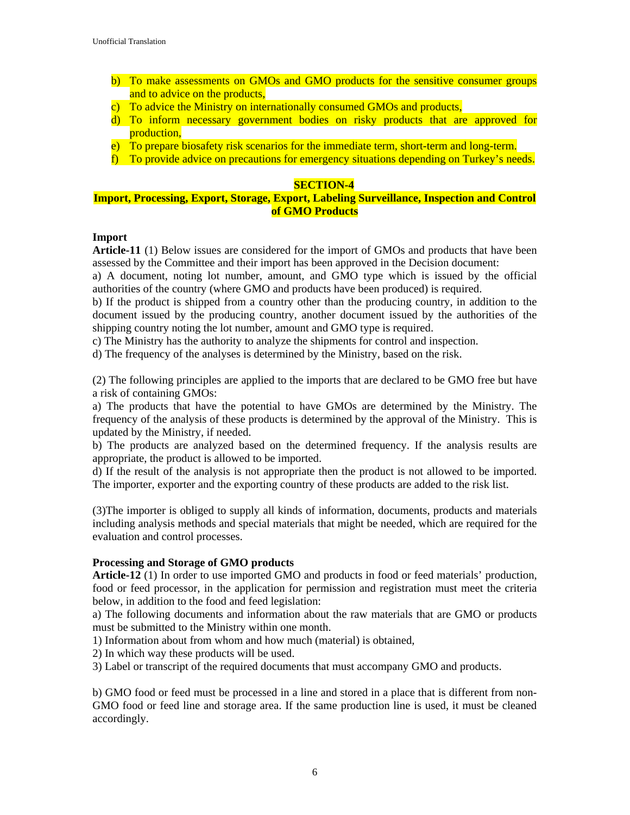- b) To make assessments on GMOs and GMO products for the sensitive consumer groups and to advice on the products,
- c) To advice the Ministry on internationally consumed GMOs and products,
- d) To inform necessary government bodies on risky products that are approved for production,
- e) To prepare biosafety risk scenarios for the immediate term, short-term and long-term.
- f) To provide advice on precautions for emergency situations depending on Turkey's needs.

#### **SECTION-4**

# **Import, Processing, Export, Storage, Export, Labeling Surveillance, Inspection and Control of GMO Products**

#### **Import**

**Article-11** (1) Below issues are considered for the import of GMOs and products that have been assessed by the Committee and their import has been approved in the Decision document:

a) A document, noting lot number, amount, and GMO type which is issued by the official authorities of the country (where GMO and products have been produced) is required.

b) If the product is shipped from a country other than the producing country, in addition to the document issued by the producing country, another document issued by the authorities of the shipping country noting the lot number, amount and GMO type is required.

c) The Ministry has the authority to analyze the shipments for control and inspection.

d) The frequency of the analyses is determined by the Ministry, based on the risk.

(2) The following principles are applied to the imports that are declared to be GMO free but have a risk of containing GMOs:

a) The products that have the potential to have GMOs are determined by the Ministry. The frequency of the analysis of these products is determined by the approval of the Ministry. This is updated by the Ministry, if needed.

b) The products are analyzed based on the determined frequency. If the analysis results are appropriate, the product is allowed to be imported.

d) If the result of the analysis is not appropriate then the product is not allowed to be imported. The importer, exporter and the exporting country of these products are added to the risk list.

(3)The importer is obliged to supply all kinds of information, documents, products and materials including analysis methods and special materials that might be needed, which are required for the evaluation and control processes.

#### **Processing and Storage of GMO products**

**Article-12** (1) In order to use imported GMO and products in food or feed materials' production, food or feed processor, in the application for permission and registration must meet the criteria below, in addition to the food and feed legislation:

a) The following documents and information about the raw materials that are GMO or products must be submitted to the Ministry within one month.

1) Information about from whom and how much (material) is obtained,

2) In which way these products will be used.

3) Label or transcript of the required documents that must accompany GMO and products.

b) GMO food or feed must be processed in a line and stored in a place that is different from non-GMO food or feed line and storage area. If the same production line is used, it must be cleaned accordingly.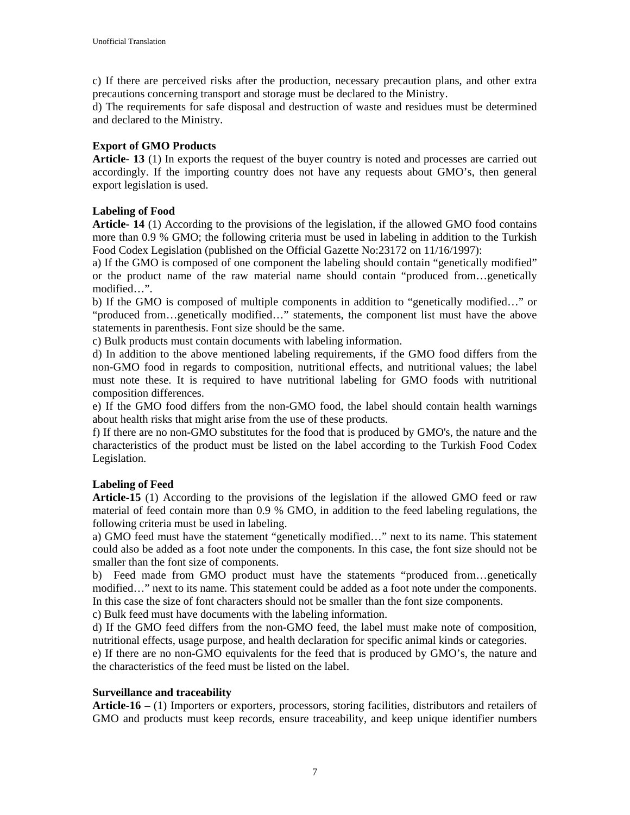c) If there are perceived risks after the production, necessary precaution plans, and other extra precautions concerning transport and storage must be declared to the Ministry.

d) The requirements for safe disposal and destruction of waste and residues must be determined and declared to the Ministry.

# **Export of GMO Products**

**Article- 13** (1) In exports the request of the buyer country is noted and processes are carried out accordingly. If the importing country does not have any requests about GMO's, then general export legislation is used.

# **Labeling of Food**

**Article- 14** (1) According to the provisions of the legislation, if the allowed GMO food contains more than 0.9 % GMO; the following criteria must be used in labeling in addition to the Turkish Food Codex Legislation (published on the Official Gazette No:23172 on 11/16/1997):

a) If the GMO is composed of one component the labeling should contain "genetically modified" or the product name of the raw material name should contain "produced from…genetically modified…".

b) If the GMO is composed of multiple components in addition to "genetically modified…" or "produced from…genetically modified…" statements, the component list must have the above statements in parenthesis. Font size should be the same.

c) Bulk products must contain documents with labeling information.

d) In addition to the above mentioned labeling requirements, if the GMO food differs from the non-GMO food in regards to composition, nutritional effects, and nutritional values; the label must note these. It is required to have nutritional labeling for GMO foods with nutritional composition differences.

e) If the GMO food differs from the non-GMO food, the label should contain health warnings about health risks that might arise from the use of these products.

f) If there are no non-GMO substitutes for the food that is produced by GMO's, the nature and the characteristics of the product must be listed on the label according to the Turkish Food Codex Legislation.

# **Labeling of Feed**

**Article-15** (1) According to the provisions of the legislation if the allowed GMO feed or raw material of feed contain more than 0.9 % GMO, in addition to the feed labeling regulations, the following criteria must be used in labeling.

a) GMO feed must have the statement "genetically modified…" next to its name. This statement could also be added as a foot note under the components. In this case, the font size should not be smaller than the font size of components.

b) Feed made from GMO product must have the statements "produced from…genetically modified…" next to its name. This statement could be added as a foot note under the components. In this case the size of font characters should not be smaller than the font size components.

c) Bulk feed must have documents with the labeling information.

d) If the GMO feed differs from the non-GMO feed, the label must make note of composition, nutritional effects, usage purpose, and health declaration for specific animal kinds or categories.

e) If there are no non-GMO equivalents for the feed that is produced by GMO's, the nature and the characteristics of the feed must be listed on the label.

# **Surveillance and traceability**

**Article-16 –** (1) Importers or exporters, processors, storing facilities, distributors and retailers of GMO and products must keep records, ensure traceability, and keep unique identifier numbers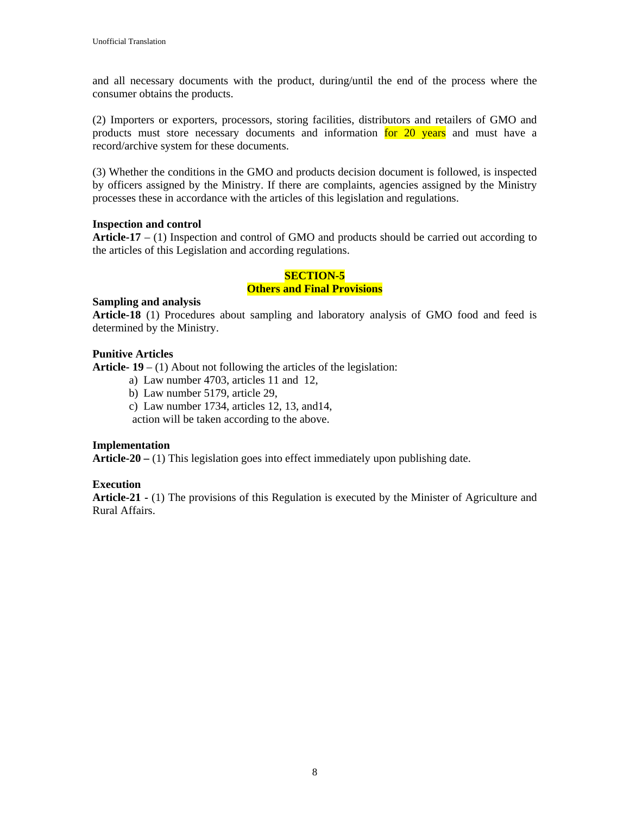and all necessary documents with the product, during/until the end of the process where the consumer obtains the products.

(2) Importers or exporters, processors, storing facilities, distributors and retailers of GMO and products must store necessary documents and information for 20 years and must have a record/archive system for these documents.

(3) Whether the conditions in the GMO and products decision document is followed, is inspected by officers assigned by the Ministry. If there are complaints, agencies assigned by the Ministry processes these in accordance with the articles of this legislation and regulations.

#### **Inspection and control**

**Article-17** – (1) Inspection and control of GMO and products should be carried out according to the articles of this Legislation and according regulations.

# **SECTION-5 Others and Final Provisions**

#### **Sampling and analysis**

**Article-18** (1) Procedures about sampling and laboratory analysis of GMO food and feed is determined by the Ministry.

# **Punitive Articles**

**Article- 19** – (1) About not following the articles of the legislation:

- a) Law number 4703, articles 11 and 12,
- b) Law number 5179, article 29,
- c) Law number 1734, articles 12, 13, and14,

action will be taken according to the above.

# **Implementation**

**Article-20 –** (1) This legislation goes into effect immediately upon publishing date.

# **Execution**

**Article-21 -** (1) The provisions of this Regulation is executed by the Minister of Agriculture and Rural Affairs.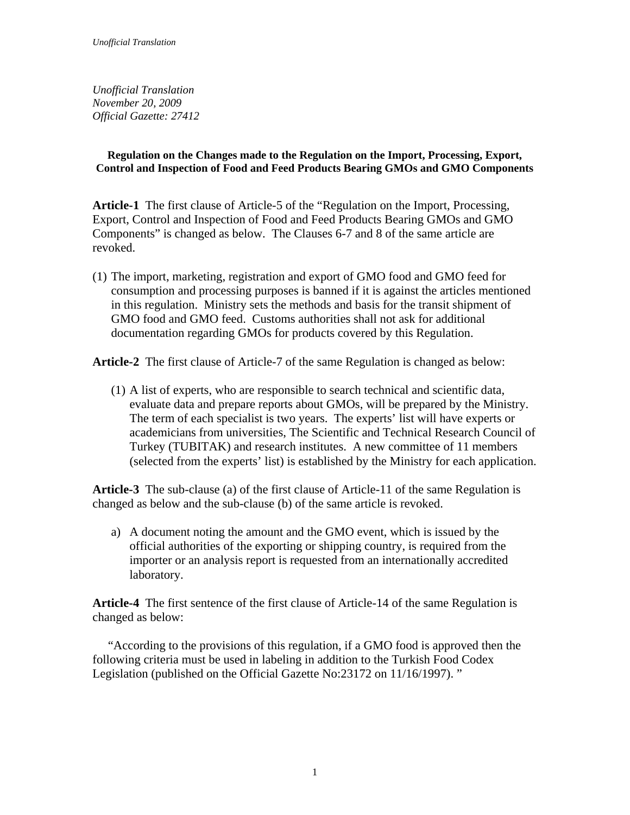*Unofficial Translation November 20, 2009 Official Gazette: 27412* 

# **Regulation on the Changes made to the Regulation on the Import, Processing, Export, Control and Inspection of Food and Feed Products Bearing GMOs and GMO Components**

**Article-1** The first clause of Article-5 of the "Regulation on the Import, Processing, Export, Control and Inspection of Food and Feed Products Bearing GMOs and GMO Components" is changed as below. The Clauses 6-7 and 8 of the same article are revoked.

(1) The import, marketing, registration and export of GMO food and GMO feed for consumption and processing purposes is banned if it is against the articles mentioned in this regulation. Ministry sets the methods and basis for the transit shipment of GMO food and GMO feed. Customs authorities shall not ask for additional documentation regarding GMOs for products covered by this Regulation.

**Article-2** The first clause of Article-7 of the same Regulation is changed as below:

(1) A list of experts, who are responsible to search technical and scientific data, evaluate data and prepare reports about GMOs, will be prepared by the Ministry. The term of each specialist is two years. The experts' list will have experts or academicians from universities, The Scientific and Technical Research Council of Turkey (TUBITAK) and research institutes. A new committee of 11 members (selected from the experts' list) is established by the Ministry for each application.

**Article-3** The sub-clause (a) of the first clause of Article-11 of the same Regulation is changed as below and the sub-clause (b) of the same article is revoked.

a) A document noting the amount and the GMO event, which is issued by the official authorities of the exporting or shipping country, is required from the importer or an analysis report is requested from an internationally accredited laboratory.

**Article-4** The first sentence of the first clause of Article-14 of the same Regulation is changed as below:

 "According to the provisions of this regulation, if a GMO food is approved then the following criteria must be used in labeling in addition to the Turkish Food Codex Legislation (published on the Official Gazette No:23172 on 11/16/1997). "